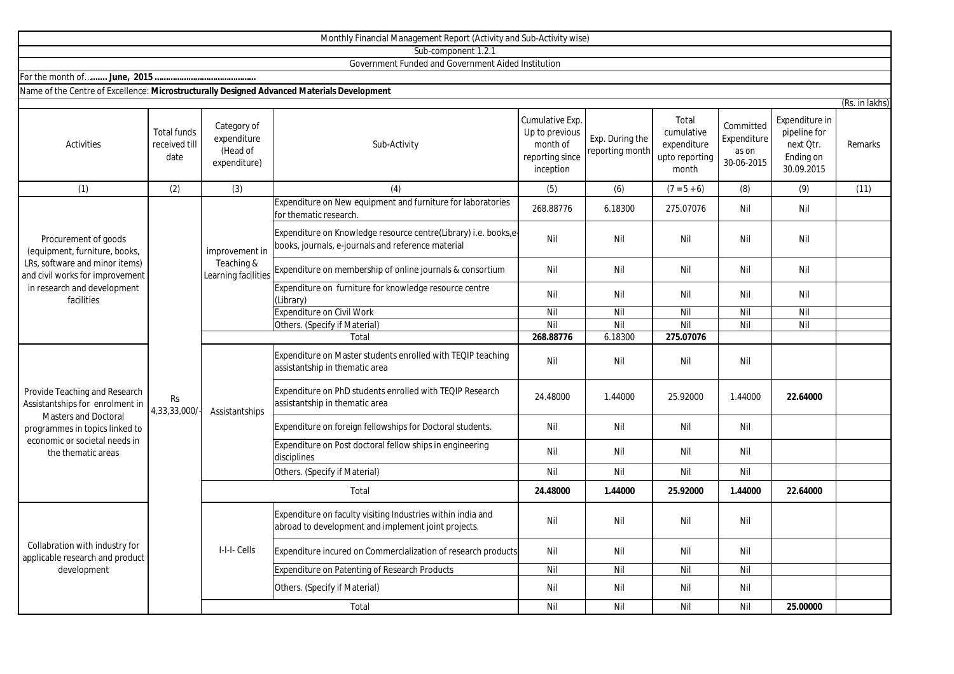|                                                                                                                                                                                          |                                             |                                                        | Monthly Financial Management Report (Activity and Sub-Activity wise)                                                 |                                                                               |                                    |                                                               |                                                 |                                                                        |                |
|------------------------------------------------------------------------------------------------------------------------------------------------------------------------------------------|---------------------------------------------|--------------------------------------------------------|----------------------------------------------------------------------------------------------------------------------|-------------------------------------------------------------------------------|------------------------------------|---------------------------------------------------------------|-------------------------------------------------|------------------------------------------------------------------------|----------------|
|                                                                                                                                                                                          |                                             |                                                        | Sub-component 1.2.1                                                                                                  |                                                                               |                                    |                                                               |                                                 |                                                                        |                |
|                                                                                                                                                                                          |                                             |                                                        | Government Funded and Government Aided Institution                                                                   |                                                                               |                                    |                                                               |                                                 |                                                                        |                |
|                                                                                                                                                                                          |                                             |                                                        |                                                                                                                      |                                                                               |                                    |                                                               |                                                 |                                                                        |                |
| Name of the Centre of Excellence: Microstructurally Designed Advanced Materials Development                                                                                              |                                             |                                                        |                                                                                                                      |                                                                               |                                    |                                                               |                                                 |                                                                        |                |
|                                                                                                                                                                                          |                                             |                                                        |                                                                                                                      |                                                                               |                                    |                                                               |                                                 |                                                                        | (Rs. in lakhs) |
| <b>Activities</b>                                                                                                                                                                        | <b>Total funds</b><br>received till<br>date | Category of<br>expenditure<br>(Head of<br>expenditure) | Sub-Activity                                                                                                         | Cumulative Exp.<br>Up to previous<br>month of<br>reporting since<br>inception | Exp. During the<br>reporting month | Total<br>cumulative<br>expenditure<br>upto reporting<br>month | Committed<br>Expenditure<br>as on<br>30-06-2015 | Expenditure in<br>pipeline for<br>next Qtr.<br>Ending on<br>30.09.2015 | Remarks        |
| (1)                                                                                                                                                                                      | (2)                                         | (3)                                                    | (4)                                                                                                                  | (5)                                                                           | (6)                                | $(7 = 5 + 6)$                                                 | (8)                                             | (9)                                                                    | (11)           |
| Procurement of goods<br>(equipment, furniture, books,<br>LRs, software and minor items)<br>and civil works for improvement<br>in research and development<br>facilities                  |                                             | improvement in<br>Teaching &<br>Learning facilities    | Expenditure on New equipment and furniture for laboratories<br>for thematic research                                 | 268.88776                                                                     | 6.18300                            | 275.07076                                                     | Nil                                             | Nil                                                                    |                |
|                                                                                                                                                                                          |                                             |                                                        | Expenditure on Knowledge resource centre(Library) i.e. books,e<br>books, journals, e-journals and reference material | Nil                                                                           | Nil                                | Nil                                                           | Nil                                             | Nil                                                                    |                |
|                                                                                                                                                                                          | Rs<br>4,33,33,000/                          |                                                        | Expenditure on membership of online journals & consortium                                                            | Nil                                                                           | Nil                                | Nil                                                           | Nil                                             | Nil                                                                    |                |
|                                                                                                                                                                                          |                                             |                                                        | Expenditure on furniture for knowledge resource centre<br>(Library)                                                  | Nil                                                                           | Nil                                | Nil                                                           | Nil                                             | Nil                                                                    |                |
|                                                                                                                                                                                          |                                             |                                                        | <b>Expenditure on Civil Work</b>                                                                                     | Nil                                                                           | Nil                                | Nil                                                           | Nil                                             | Nil                                                                    |                |
|                                                                                                                                                                                          |                                             |                                                        | Others. (Specify if Material)                                                                                        | Nil                                                                           | Nil                                | Nil                                                           | Nil                                             | Nil                                                                    |                |
|                                                                                                                                                                                          |                                             |                                                        | Total                                                                                                                | 268.88776                                                                     | 6.18300                            | 275.07076                                                     |                                                 |                                                                        |                |
| Provide Teaching and Research<br>Assistantships for enrolment in<br><b>Masters and Doctoral</b><br>programmes in topics linked to<br>economic or societal needs in<br>the thematic areas |                                             | Assistantships                                         | Expenditure on Master students enrolled with TEQIP teaching<br>assistantship in thematic area                        | Nil                                                                           | Nil                                | Nil                                                           | Nil                                             |                                                                        |                |
|                                                                                                                                                                                          |                                             |                                                        | Expenditure on PhD students enrolled with TEQIP Research<br>assistantship in thematic area                           | 24.48000                                                                      | 1.44000                            | 25.92000                                                      | 1.44000                                         | 22.64000                                                               |                |
|                                                                                                                                                                                          |                                             |                                                        | Expenditure on foreign fellowships for Doctoral students.                                                            | Nil                                                                           | Nil                                | Nil                                                           | Nil                                             |                                                                        |                |
|                                                                                                                                                                                          |                                             |                                                        | Expenditure on Post doctoral fellow ships in engineering<br>disciplines                                              | Nil                                                                           | Nil                                | Nil                                                           | Nil                                             |                                                                        |                |
|                                                                                                                                                                                          |                                             |                                                        | Others. (Specify if Material)                                                                                        | Nil                                                                           | Nil                                | Nil                                                           | Nil                                             |                                                                        |                |
|                                                                                                                                                                                          |                                             | Total                                                  |                                                                                                                      | 24.48000                                                                      | 1.44000                            | 25.92000                                                      | 1.44000                                         | 22.64000                                                               |                |
| Collabration with industry for<br>applicable research and product<br>development                                                                                                         |                                             | I-I-I- Cells                                           | Expenditure on faculty visiting Industries within india and<br>abroad to development and implement joint projects.   | Nil                                                                           | Nil                                | Nil                                                           | Nil                                             |                                                                        |                |
|                                                                                                                                                                                          |                                             |                                                        | Expenditure incured on Commercialization of research products                                                        | Nil                                                                           | Nil                                | Nil                                                           | Nil                                             |                                                                        |                |
|                                                                                                                                                                                          |                                             |                                                        | Expenditure on Patenting of Research Products                                                                        | Nil                                                                           | Nil                                | Nil                                                           | Nil                                             |                                                                        |                |
|                                                                                                                                                                                          |                                             |                                                        | Others. (Specify if Material)                                                                                        | Nil                                                                           | Nil                                | Nil                                                           | Nil                                             |                                                                        |                |
|                                                                                                                                                                                          |                                             |                                                        | Total                                                                                                                | Nil                                                                           | Nil                                | Nil                                                           | Nil                                             | 25.00000                                                               |                |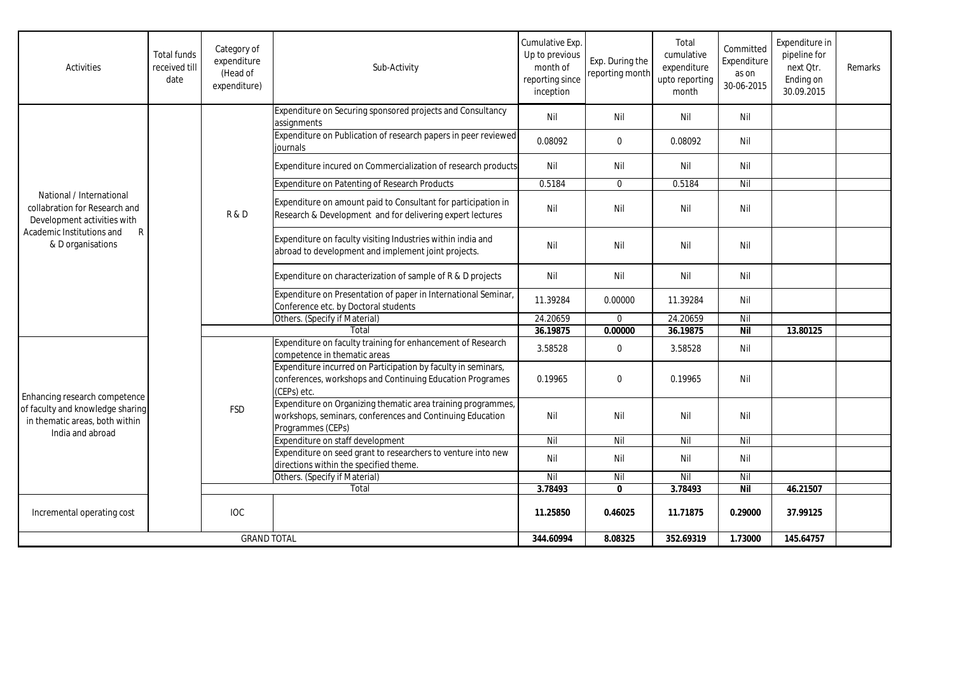| <b>Activities</b>                                                                                                                               | <b>Total funds</b><br>received till<br>date | Category of<br>expenditure<br>(Head of<br>expenditure) | Sub-Activity                                                                                                                                   | Cumulative Exp.<br>Up to previous<br>month of<br>reporting since<br>inception | Exp. During the<br>reporting month | Total<br>cumulative<br>expenditure<br>upto reporting<br>month | Committed<br>Expenditure<br>as on<br>30-06-2015 | Expenditure in<br>pipeline for<br>next Otr.<br>Ending on<br>30.09.2015 | Remarks |
|-------------------------------------------------------------------------------------------------------------------------------------------------|---------------------------------------------|--------------------------------------------------------|------------------------------------------------------------------------------------------------------------------------------------------------|-------------------------------------------------------------------------------|------------------------------------|---------------------------------------------------------------|-------------------------------------------------|------------------------------------------------------------------------|---------|
| National / International<br>collabration for Research and<br>Development activities with<br>Academic Institutions and<br>R<br>& D organisations |                                             | R&D                                                    | Expenditure on Securing sponsored projects and Consultancy<br>assignments                                                                      | Nil                                                                           | Nil                                | Nil                                                           | Nil                                             |                                                                        |         |
|                                                                                                                                                 |                                             |                                                        | Expenditure on Publication of research papers in peer reviewed<br>iournals                                                                     | 0.08092                                                                       | $\mathbf 0$                        | 0.08092                                                       | Nil                                             |                                                                        |         |
|                                                                                                                                                 |                                             |                                                        | Expenditure incured on Commercialization of research products                                                                                  | Nil                                                                           | Nil                                | Nil                                                           | Nil                                             |                                                                        |         |
|                                                                                                                                                 |                                             |                                                        | <b>Expenditure on Patenting of Research Products</b>                                                                                           | 0.5184                                                                        | $\mathbf 0$                        | 0.5184                                                        | Nil                                             |                                                                        |         |
|                                                                                                                                                 |                                             |                                                        | Expenditure on amount paid to Consultant for participation in<br>Research & Development and for delivering expert lectures                     | Nil                                                                           | Nil                                | Nil                                                           | Nil                                             |                                                                        |         |
|                                                                                                                                                 |                                             |                                                        | Expenditure on faculty visiting Industries within india and<br>abroad to development and implement joint projects.                             | Nil                                                                           | Nil                                | Nil                                                           | Nil                                             |                                                                        |         |
|                                                                                                                                                 |                                             |                                                        | Expenditure on characterization of sample of R & D projects                                                                                    | Nil                                                                           | Nil                                | Nil                                                           | Nil                                             |                                                                        |         |
|                                                                                                                                                 |                                             |                                                        | Expenditure on Presentation of paper in International Seminar,<br>Conference etc. by Doctoral students                                         | 11.39284                                                                      | 0.00000                            | 11.39284                                                      | Nil                                             |                                                                        |         |
|                                                                                                                                                 |                                             |                                                        | Others. (Specify if Material)                                                                                                                  | 24.20659                                                                      | $\mathbf 0$                        | 24.20659                                                      | Nil                                             |                                                                        |         |
|                                                                                                                                                 |                                             |                                                        | Total                                                                                                                                          | 36.19875                                                                      | 0.00000                            | 36.19875                                                      | <b>Nil</b>                                      | 13.80125                                                               |         |
| Enhancing research competence<br>of faculty and knowledge sharing<br>in thematic areas, both within<br>India and abroad                         |                                             | <b>FSD</b>                                             | Expenditure on faculty training for enhancement of Research<br>competence in thematic areas                                                    | 3.58528                                                                       | $\pmb{0}$                          | 3.58528                                                       | Nil                                             |                                                                        |         |
|                                                                                                                                                 |                                             |                                                        | Expenditure incurred on Participation by faculty in seminars,<br>conferences, workshops and Continuing Education Programes<br>(CEPs) etc.      | 0.19965                                                                       | $\Omega$                           | 0.19965                                                       | Nil                                             |                                                                        |         |
|                                                                                                                                                 |                                             |                                                        | Expenditure on Organizing thematic area training programmes,<br>workshops, seminars, conferences and Continuing Education<br>Programmes (CEPs) | Nil                                                                           | Nil                                | Nil                                                           | Nil                                             |                                                                        |         |
|                                                                                                                                                 |                                             |                                                        | Expenditure on staff development                                                                                                               | Nil                                                                           | Nil                                | $\overline{N}$                                                | Nil                                             |                                                                        |         |
|                                                                                                                                                 |                                             |                                                        | Expenditure on seed grant to researchers to venture into new<br>directions within the specified theme.                                         | Nil                                                                           | Nil                                | Nil                                                           | Nil                                             |                                                                        |         |
|                                                                                                                                                 |                                             |                                                        | Others. (Specify if Material)                                                                                                                  | Nil                                                                           | Nil                                | Nil                                                           | Nil                                             |                                                                        |         |
|                                                                                                                                                 |                                             |                                                        | Total                                                                                                                                          | 3.78493                                                                       | $\mathbf{0}$                       | 3.78493                                                       | Nil                                             | 46.21507                                                               |         |
| Incremental operating cost                                                                                                                      |                                             | <b>IOC</b>                                             |                                                                                                                                                | 11.25850                                                                      | 0.46025                            | 11.71875                                                      | 0.29000                                         | 37.99125                                                               |         |
| <b>GRAND TOTAL</b>                                                                                                                              |                                             |                                                        | 344.60994                                                                                                                                      | 8.08325                                                                       | 352.69319                          | 1.73000                                                       | 145.64757                                       |                                                                        |         |